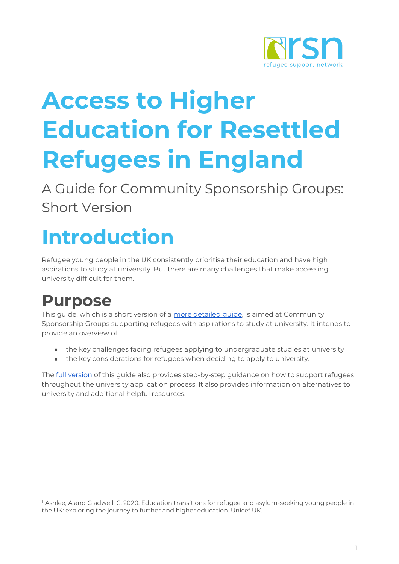

# **Access to Higher Education for Resettled Refugees in England**

A Guide for Community Sponsorship Groups: Short Version

## **Introduction**

Refugee young people in the UK consistently prioritise their education and have high aspirations to study at university. But there are many challenges that make accessing university difficult for them. 1

#### **Purpose**

This guide, which is a short version of a [more detailed guide,](https://training-resetuk.org/sites/default/files/toolkit-files/2021-03/2.7.3f-access-to-higher-education-for-resettled-refugees.pdf) is aimed at Community Sponsorship Groups supporting refugees with aspirations to study at university. It intends to provide an overview of:

- the key challenges facing refugees applying to undergraduate studies at university
- the key considerations for refugees when deciding to apply to university.

The **full version** of this guide also provides step-by-step guidance on how to support refugees throughout the university application process. It also provides information on alternatives to university and additional helpful resources.

<sup>&</sup>lt;sup>1</sup> Ashlee, A and Gladwell, C. 2020. Education transitions for refugee and asylum-seeking young people in the UK: exploring the journey to further and higher education. Unicef UK.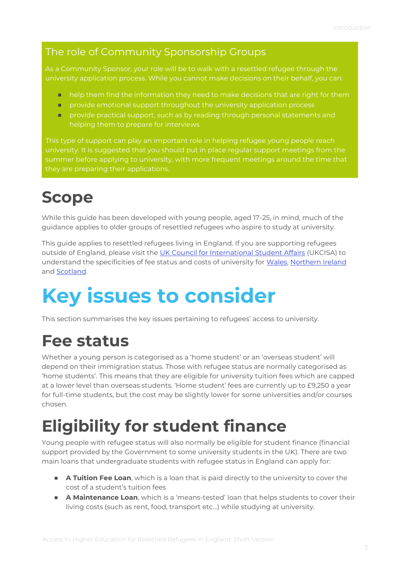#### The role of Community Sponsorship Groups

As a Community Sponsor, your role will be to walk with a resettled refugee through the university application process. While you cannot make decisions on their behalf, you can:

- help them find the information they need to make decisions that are right for them
- provide emotional support throughout the university application process
- provide practical support, such as by reading through personal statements and helping them to prepare for interviews

This type of support can play an important role in helping refugee young people reach university. It is suggested that you should put in place regular support meetings from the summer before applying to university, with more frequent meetings around the time that they are preparing their applications.

### **Scope**

While this guide has been developed with young people, aged 17-25, in mind, much of the guidance applies to older groups of resettled refugees who aspire to study at university.

This guide applies to resettled refugees living in England. If you are supporting refugees outside of England, please visit the [UK Council for International Student Affairs](https://www.ukcisa.org.uk/) (UKCISA) to understand the specificities of fee status and costs of university for [Wales,](https://www.ukcisa.org.uk/Information--Advice/Fees-and-Money/Wales-fee-status) [Northern Ireland](https://www.ukcisa.org.uk/Information--Advice/Fees-and-Money/Northern-Ireland-fee-status) and [Scotland.](https://www.ukcisa.org.uk/Information--Advice/Fees-and-Money/Scotland-fee-status)

## **Key issues to consider**

This section summarises the key issues pertaining to refugees' access to university.

#### **Fee status**

Whether a young person is categorised as a 'home student' or an 'overseas student' will depend on their immigration status. Those with refugee status are normally categorised as 'home students'. This means that they are eligible for university tuition fees which are capped at a lower level than overseas students. 'Home student' fees are currently up to £9,250 a year for full-time students, but the cost may be slightly lower for some universities and/or courses chosen.

#### **Eligibility for student finance**

Young people with refugee status will also normally be eligible for student finance (financial support provided by the Government to some university students in the UK). There are two main loans that undergraduate students with refugee status in England can apply for:

- **A Tuition Fee Loan**, which is a loan that is paid directly to the university to cover the cost of a student's tuition fees
- **A Maintenance Loan**, which is a 'means-tested' loan that helps students to cover their living costs (such as rent, food, transport etc…) while studying at university.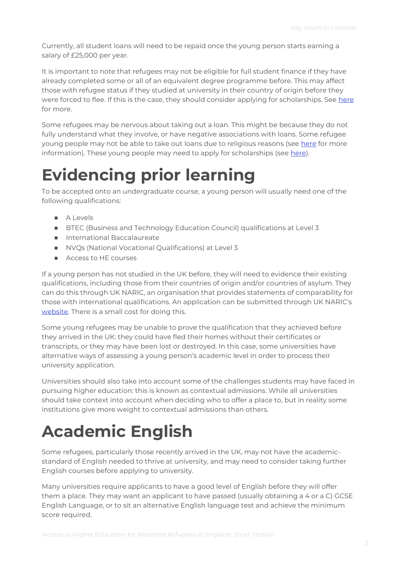Currently, all student loans will need to be repaid once the young person starts earning a salary of £25,000 per year.

It is important to note that refugees may not be eligible for full student finance if they have already completed some or all of an equivalent degree programme before. This may affect those with refugee status if they studied at university in their country of origin before they were forced to flee. If this is the case, they should consider applying for scholarships. See [here](https://www.refugeesupportnetwork.org/pages/119-frequently-asked-questions) for more.

Some refugees may be nervous about taking out a loan. This might be because they do not fully understand what they involve, or have negative associations with loans. Some refugee young people may not be able to take out loans due to religious reasons (see [here](http://www.leeds.ac.uk/info/130530/student_loans_and_bursaries/18/financial_support_for_muslim_students) for more information). These young people may need to apply for scholarships (see [here\)](https://www.refugeesupportnetwork.org/pages/119-frequently-asked-questions).

#### **Evidencing prior learning**

To be accepted onto an undergraduate course, a young person will usually need one of the following qualifications:

- A Levels
- BTEC (Business and Technology Education Council) qualifications at Level 3
- International Baccalaureate
- NVOs (National Vocational Qualifications) at Level 3
- Access to HE courses

If a young person has not studied in the UK before, they will need to evidence their existing qualifications, including those from their countries of origin and/or countries of asylum. They can do this through UK NARIC, an organisation that provides statements of comparability for those with international qualifications. An application can be submitted through UK NARIC's [website.](https://www.naric.org.uk/) There is a small cost for doing this.

Some young refugees may be unable to prove the qualification that they achieved before they arrived in the UK: they could have fled their homes without their certificates or transcripts, or they may have been lost or destroyed. In this case, some universities have alternative ways of assessing a young person's academic level in order to process their university application.

Universities should also take into account some of the challenges students may have faced in pursuing higher education: this is known as contextual admissions. While all universities should take context into account when deciding who to offer a place to, but in reality some institutions give more weight to contextual admissions than others.

### **Academic English**

Some refugees, particularly those recently arrived in the UK, may not have the academicstandard of English needed to thrive at university, and may need to consider taking further English courses before applying to university.

Many universities require applicants to have a good level of English before they will offer them a place. They may want an applicant to have passed (usually obtaining a 4 or a C) GCSE English Language, or to sit an alternative English language test and achieve the minimum score required.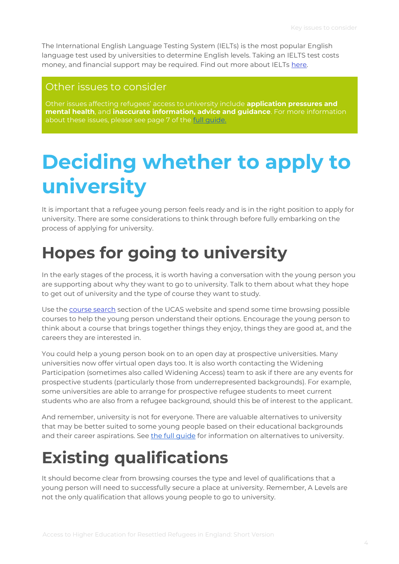The International English Language Testing System (IELTs) is the most popular English language test used by universities to determine English levels. Taking an IELTS test costs money, and financial support may be required. Find out more about IELTs [here.](http://ielts.britishcouncil.org/FAQ.aspx)

#### Other issues to consider

Other issues affecting refugees' access to university include **application pressures and mental health**, and **inaccurate information, advice and guidance**. For more information about these issues, please see page 7 of the full quide.

## **Deciding whether to apply to university**

It is important that a refugee young person feels ready and is in the right position to apply for university. There are some considerations to think through before fully embarking on the process of applying for university.

### **Hopes for going to university**

In the early stages of the process, it is worth having a conversation with the young person you are supporting about why they want to go to university. Talk to them about what they hope to get out of university and the type of course they want to study.

Use the [course search](http://www.ucas.com/undergraduate/what-and-where-study/choosing-course/choosing-undergraduate-course) section of the UCAS website and spend some time browsing possible courses to help the young person understand their options. Encourage the young person to think about a course that brings together things they enjoy, things they are good at, and the careers they are interested in.

You could help a young person book on to an open day at prospective universities. Many universities now offer virtual open days too. It is also worth contacting the Widening Participation (sometimes also called Widening Access) team to ask if there are any events for prospective students (particularly those from underrepresented backgrounds). For example, some universities are able to arrange for prospective refugee students to meet current students who are also from a refugee background, should this be of interest to the applicant.

And remember, university is not for everyone. There are valuable alternatives to university that may be better suited to some young people based on their educational backgrounds and their career aspirations. See [the full guide](https://training-resetuk.org/sites/default/files/toolkit-files/2021-03/2.7.3f-access-to-higher-education-for-resettled-refugees.pdf) for information on alternatives to university.

### **Existing qualifications**

It should become clear from browsing courses the type and level of qualifications that a young person will need to successfully secure a place at university. Remember, A Levels are not the only qualification that allows young people to go to university.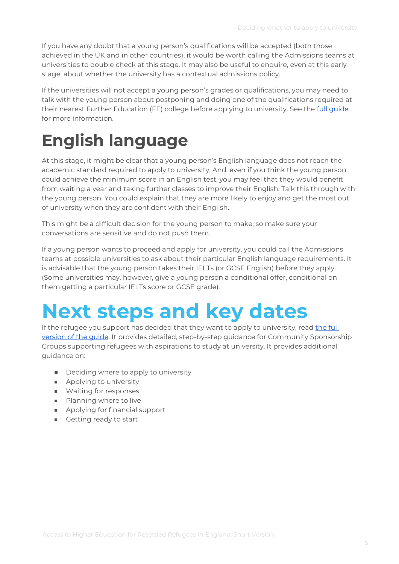If you have any doubt that a young person's qualifications will be accepted (both those achieved in the UK and in other countries), it would be worth calling the Admissions teams at universities to double check at this stage. It may also be useful to enquire, even at this early stage, about whether the university has a contextual admissions policy.

If the universities will not accept a young person's grades or qualifications, you may need to talk with the young person about postponing and doing one of the qualifications required at their nearest Further Education (FE) college before applying to university. See the [full guide](https://training-resetuk.org/sites/default/files/toolkit-files/2021-03/2.7.3f-access-to-higher-education-for-resettled-refugees.pdf)  for more information.

## **English language**

At this stage, it might be clear that a young person's English language does not reach the academic standard required to apply to university. And, even if you think the young person could achieve the minimum score in an English test, you may feel that they would benefit from waiting a year and taking further classes to improve their English. Talk this through with the young person. You could explain that they are more likely to enjoy and get the most out of university when they are confident with their English.

This might be a difficult decision for the young person to make, so make sure your conversations are sensitive and do not push them.

If a young person wants to proceed and apply for university, you could call the Admissions teams at possible universities to ask about their particular English language requirements. It is advisable that the young person takes their IELTs (or GCSE English) before they apply. (Some universities may, however, give a young person a conditional offer, conditional on them getting a particular IELTs score or GCSE grade).

## **Next steps and key dates**

If the refugee you support has decided that they want to apply to university, rea[d the full](https://training-resetuk.org/sites/default/files/toolkit-files/2021-03/2.7.3f-access-to-higher-education-for-resettled-refugees.pdf)  [version of the guide.](https://training-resetuk.org/sites/default/files/toolkit-files/2021-03/2.7.3f-access-to-higher-education-for-resettled-refugees.pdf) It provides detailed, step-by-step guidance for Community Sponsorship Groups supporting refugees with aspirations to study at university. It provides additional guidance on:

- Deciding where to apply to university
- Applying to university
- Waiting for responses
- Planning where to live
- Applying for financial support
- Getting ready to start